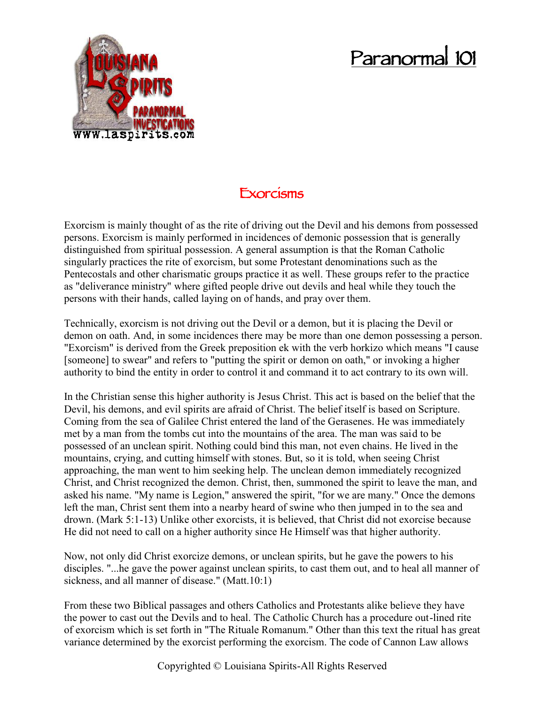## **Paranormal 101**



## **Exorcisms**

Exorcism is mainly thought of as the rite of driving out the Devil and his demons from possessed persons. Exorcism is mainly performed in incidences of demonic possession that is generally distinguished from spiritual possession. A general assumption is that the Roman Catholic singularly practices the rite of exorcism, but some Protestant denominations such as the Pentecostals and other charismatic groups practice it as well. These groups refer to the practice as "deliverance ministry" where gifted people drive out devils and heal while they touch the persons with their hands, called laying on of hands, and pray over them.

Technically, exorcism is not driving out the Devil or a demon, but it is placing the Devil or demon on oath. And, in some incidences there may be more than one demon possessing a person. "Exorcism" is derived from the Greek preposition ek with the verb horkizo which means "I cause [someone] to swear" and refers to "putting the spirit or demon on oath," or invoking a higher authority to bind the entity in order to control it and command it to act contrary to its own will.

In the Christian sense this higher authority is Jesus Christ. This act is based on the belief that the Devil, his demons, and evil spirits are afraid of Christ. The belief itself is based on Scripture. Coming from the sea of Galilee Christ entered the land of the Gerasenes. He was immediately met by a man from the tombs cut into the mountains of the area. The man was said to be possessed of an unclean spirit. Nothing could bind this man, not even chains. He lived in the mountains, crying, and cutting himself with stones. But, so it is told, when seeing Christ approaching, the man went to him seeking help. The unclean demon immediately recognized Christ, and Christ recognized the demon. Christ, then, summoned the spirit to leave the man, and asked his name. "My name is Legion," answered the spirit, "for we are many." Once the demons left the man, Christ sent them into a nearby heard of swine who then jumped in to the sea and drown. (Mark 5:1-13) Unlike other exorcists, it is believed, that Christ did not exorcise because He did not need to call on a higher authority since He Himself was that higher authority.

Now, not only did Christ exorcize demons, or unclean spirits, but he gave the powers to his disciples. "...he gave the power against unclean spirits, to cast them out, and to heal all manner of sickness, and all manner of disease." (Matt.10:1)

From these two Biblical passages and others Catholics and Protestants alike believe they have the power to cast out the Devils and to heal. The Catholic Church has a procedure out-lined rite of exorcism which is set forth in "The Rituale Romanum." Other than this text the ritual has great variance determined by the exorcist performing the exorcism. The code of Cannon Law allows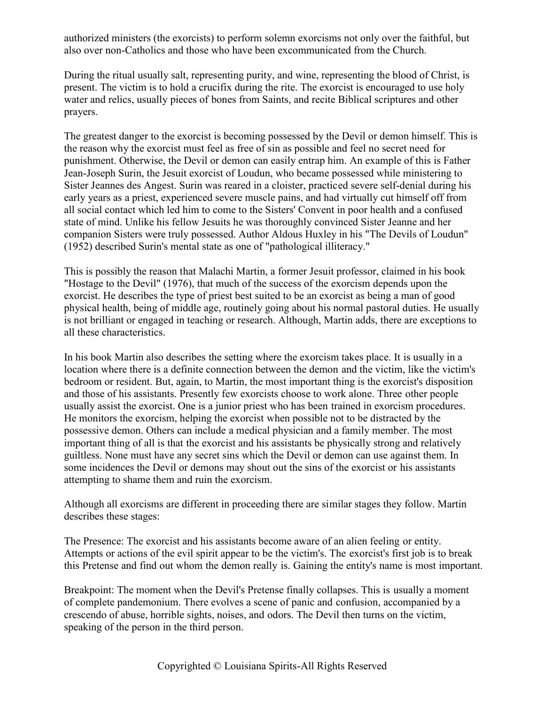authorized ministers (the exorcists) to perform solemn exorcisms not only over the faithful, but also over non-Catholics and those who have been excommunicated from the Church.

During the ritual usually salt, representing purity, and wine, representing the blood of Christ, is present. The victim is to hold a crucifix during the rite. The exorcist is encouraged to use holy water and relics, usually pieces of bones from Saints, and recite Biblical scriptures and other prayers.

The greatest danger to the exorcist is becoming possessed by the Devil or demon himself. This is the reason why the exorcist must feel as free of sin as possible and feel no secret need for punishment. Otherwise, the Devil or demon can easily entrap him. An example of this is Father Jean-Joseph Surin, the Jesuit exorcist of Loudun, who became possessed while ministering to Sister Jeannes des Angest. Surin was reared in a cloister, practiced severe self-denial during his early years as a priest, experienced severe muscle pains, and had virtually cut himself off from all social contact which led him to come to the Sisters' Convent in poor health and a confused state of mind. Unlike his fellow Jesuits he was thoroughly convinced Sister Jeanne and her companion Sisters were truly possessed. Author Aldous Huxley in his "The Devils of Loudun" (1952) described Surin's mental state as one of "pathological illiteracy."

This is possibly the reason that Malachi Martin, a former Jesuit professor, claimed in his book "Hostage to the Devil" (1976), that much of the success of the exorcism depends upon the exorcist. He describes the type of priest best suited to be an exorcist as being a man of good physical health, being of middle age, routinely going about his normal pastoral duties. He usually is not brilliant or engaged in teaching or research. Although, Martin adds, there are exceptions to all these characteristics.

In his book Martin also describes the setting where the exorcism takes place. It is usually in a location where there is a definite connection between the demon and the victim, like the victim's bedroom or resident. But, again, to Martin, the most important thing is the exorcist's disposition and those of his assistants. Presently few exorcists choose to work alone. Three other people usually assist the exorcist. One is a junior priest who has been trained in exorcism procedures. He monitors the exorcism, helping the exorcist when possible not to be distracted by the possessive demon. Others can include a medical physician and a family member. The most important thing of all is that the exorcist and his assistants be physically strong and relatively guiltless. None must have any secret sins which the Devil or demon can use against them. In some incidences the Devil or demons may shout out the sins of the exorcist or his assistants attempting to shame them and ruin the exorcism.

Although all exorcisms are different in proceeding there are similar stages they follow. Martin describes these stages:

The Presence: The exorcist and his assistants become aware of an alien feeling or entity. Attempts or actions of the evil spirit appear to be the victim's. The exorcist's first job is to break this Pretense and find out whom the demon really is. Gaining the entity's name is most important.

Breakpoint: The moment when the Devil's Pretense finally collapses. This is usually a moment of complete pandemonium. There evolves a scene of panic and confusion, accompanied by a crescendo of abuse, horrible sights, noises, and odors. The Devil then turns on the victim, speaking of the person in the third person.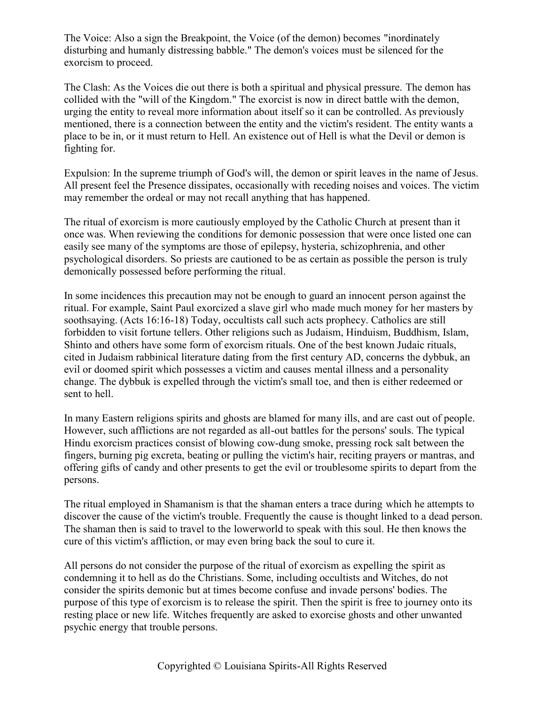The Voice: Also a sign the Breakpoint, the Voice (of the demon) becomes "inordinately disturbing and humanly distressing babble." The demon's voices must be silenced for the exorcism to proceed.

The Clash: As the Voices die out there is both a spiritual and physical pressure. The demon has collided with the "will of the Kingdom." The exorcist is now in direct battle with the demon, urging the entity to reveal more information about itself so it can be controlled. As previously mentioned, there is a connection between the entity and the victim's resident. The entity wants a place to be in, or it must return to Hell. An existence out of Hell is what the Devil or demon is fighting for.

Expulsion: In the supreme triumph of God's will, the demon or spirit leaves in the name of Jesus. All present feel the Presence dissipates, occasionally with receding noises and voices. The victim may remember the ordeal or may not recall anything that has happened.

The ritual of exorcism is more cautiously employed by the Catholic Church at present than it once was. When reviewing the conditions for demonic possession that were once listed one can easily see many of the symptoms are those of epilepsy, hysteria, schizophrenia, and other psychological disorders. So priests are cautioned to be as certain as possible the person is truly demonically possessed before performing the ritual.

In some incidences this precaution may not be enough to guard an innocent person against the ritual. For example, Saint Paul exorcized a slave girl who made much money for her masters by soothsaying. (Acts 16:16-18) Today, occultists call such acts prophecy. Catholics are still forbidden to visit fortune tellers. Other religions such as Judaism, Hinduism, Buddhism, Islam, Shinto and others have some form of exorcism rituals. One of the best known Judaic rituals, cited in Judaism rabbinical literature dating from the first century AD, concerns the dybbuk, an evil or doomed spirit which possesses a victim and causes mental illness and a personality change. The dybbuk is expelled through the victim's small toe, and then is either redeemed or sent to hell.

In many Eastern religions spirits and ghosts are blamed for many ills, and are cast out of people. However, such afflictions are not regarded as all-out battles for the persons' souls. The typical Hindu exorcism practices consist of blowing cow-dung smoke, pressing rock salt between the fingers, burning pig excreta, beating or pulling the victim's hair, reciting prayers or mantras, and offering gifts of candy and other presents to get the evil or troublesome spirits to depart from the persons.

The ritual employed in Shamanism is that the shaman enters a trace during which he attempts to discover the cause of the victim's trouble. Frequently the cause is thought linked to a dead person. The shaman then is said to travel to the lowerworld to speak with this soul. He then knows the cure of this victim's affliction, or may even bring back the soul to cure it.

All persons do not consider the purpose of the ritual of exorcism as expelling the spirit as condemning it to hell as do the Christians. Some, including occultists and Witches, do not consider the spirits demonic but at times become confuse and invade persons' bodies. The purpose of this type of exorcism is to release the spirit. Then the spirit is free to journey onto its resting place or new life. Witches frequently are asked to exorcise ghosts and other unwanted psychic energy that trouble persons.